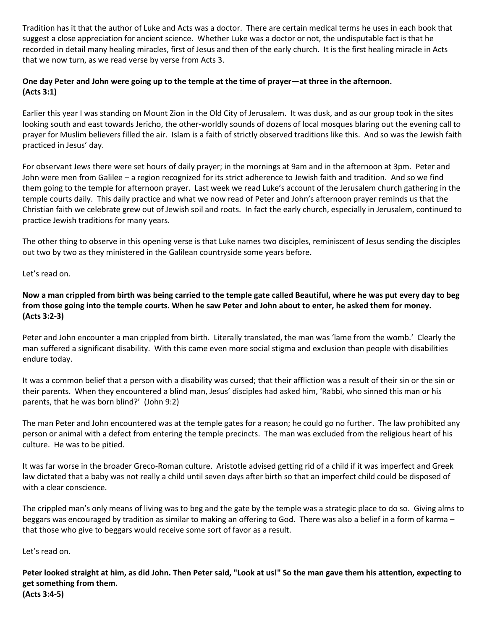Tradition has it that the author of Luke and Acts was a doctor. There are certain medical terms he uses in each book that suggest a close appreciation for ancient science. Whether Luke was a doctor or not, the undisputable fact is that he recorded in detail many healing miracles, first of Jesus and then of the early church. It is the first healing miracle in Acts that we now turn, as we read verse by verse from Acts 3.

# **One day Peter and John were going up to the temple at the time of prayer—at three in the afternoon. (Acts 3:1)**

Earlier this year I was standing on Mount Zion in the Old City of Jerusalem. It was dusk, and as our group took in the sites looking south and east towards Jericho, the other-worldly sounds of dozens of local mosques blaring out the evening call to prayer for Muslim believers filled the air. Islam is a faith of strictly observed traditions like this. And so was the Jewish faith practiced in Jesus' day.

For observant Jews there were set hours of daily prayer; in the mornings at 9am and in the afternoon at 3pm. Peter and John were men from Galilee – a region recognized for its strict adherence to Jewish faith and tradition. And so we find them going to the temple for afternoon prayer. Last week we read Luke's account of the Jerusalem church gathering in the temple courts daily. This daily practice and what we now read of Peter and John's afternoon prayer reminds us that the Christian faith we celebrate grew out of Jewish soil and roots. In fact the early church, especially in Jerusalem, continued to practice Jewish traditions for many years.

The other thing to observe in this opening verse is that Luke names two disciples, reminiscent of Jesus sending the disciples out two by two as they ministered in the Galilean countryside some years before.

Let's read on.

**Now a man crippled from birth was being carried to the temple gate called Beautiful, where he was put every day to beg from those going into the temple courts. When he saw Peter and John about to enter, he asked them for money. (Acts 3:2-3)**

Peter and John encounter a man crippled from birth. Literally translated, the man was 'lame from the womb.' Clearly the man suffered a significant disability. With this came even more social stigma and exclusion than people with disabilities endure today.

It was a common belief that a person with a disability was cursed; that their affliction was a result of their sin or the sin or their parents. When they encountered a blind man, Jesus' disciples had asked him, 'Rabbi, who sinned this man or his parents, that he was born blind?' (John 9:2)

The man Peter and John encountered was at the temple gates for a reason; he could go no further. The law prohibited any person or animal with a defect from entering the temple precincts. The man was excluded from the religious heart of his culture. He was to be pitied.

It was far worse in the broader Greco-Roman culture. Aristotle advised getting rid of a child if it was imperfect and Greek law dictated that a baby was not really a child until seven days after birth so that an imperfect child could be disposed of with a clear conscience.

The crippled man's only means of living was to beg and the gate by the temple was a strategic place to do so. Giving alms to beggars was encouraged by tradition as similar to making an offering to God. There was also a belief in a form of karma – that those who give to beggars would receive some sort of favor as a result.

Let's read on.

**Peter looked straight at him, as did John. Then Peter said, "Look at us!" So the man gave them his attention, expecting to get something from them. (Acts 3:4-5)**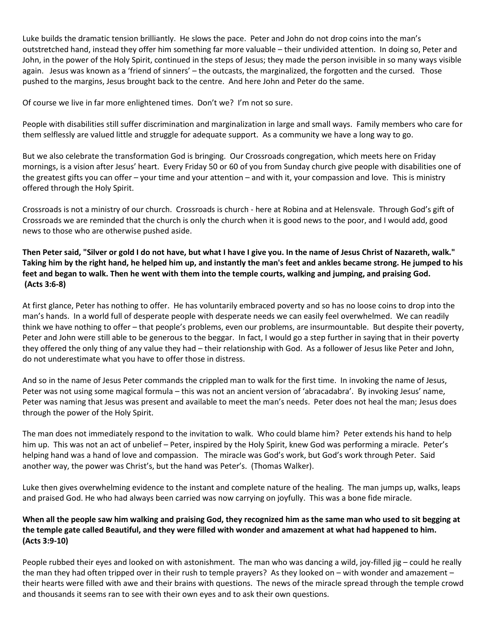Luke builds the dramatic tension brilliantly. He slows the pace. Peter and John do not drop coins into the man's outstretched hand, instead they offer him something far more valuable – their undivided attention. In doing so, Peter and John, in the power of the Holy Spirit, continued in the steps of Jesus; they made the person invisible in so many ways visible again. Jesus was known as a 'friend of sinners' – the outcasts, the marginalized, the forgotten and the cursed. Those pushed to the margins, Jesus brought back to the centre. And here John and Peter do the same.

Of course we live in far more enlightened times. Don't we? I'm not so sure.

People with disabilities still suffer discrimination and marginalization in large and small ways. Family members who care for them selflessly are valued little and struggle for adequate support. As a community we have a long way to go.

But we also celebrate the transformation God is bringing. Our Crossroads congregation, which meets here on Friday mornings, is a vision after Jesus' heart. Every Friday 50 or 60 of you from Sunday church give people with disabilities one of the greatest gifts you can offer – your time and your attention – and with it, your compassion and love. This is ministry offered through the Holy Spirit.

Crossroads is not a ministry of our church. Crossroads is church - here at Robina and at Helensvale. Through God's gift of Crossroads we are reminded that the church is only the church when it is good news to the poor, and I would add, good news to those who are otherwise pushed aside.

**Then Peter said, "Silver or gold I do not have, but what I have I give you. In the name of Jesus Christ of Nazareth, walk." Taking him by the right hand, he helped him up, and instantly the man's feet and ankles became strong. He jumped to his feet and began to walk. Then he went with them into the temple courts, walking and jumping, and praising God. (Acts 3:6-8)**

At first glance, Peter has nothing to offer. He has voluntarily embraced poverty and so has no loose coins to drop into the man's hands. In a world full of desperate people with desperate needs we can easily feel overwhelmed. We can readily think we have nothing to offer – that people's problems, even our problems, are insurmountable. But despite their poverty, Peter and John were still able to be generous to the beggar. In fact, I would go a step further in saying that in their poverty they offered the only thing of any value they had – their relationship with God. As a follower of Jesus like Peter and John, do not underestimate what you have to offer those in distress.

And so in the name of Jesus Peter commands the crippled man to walk for the first time. In invoking the name of Jesus, Peter was not using some magical formula – this was not an ancient version of 'abracadabra'. By invoking Jesus' name, Peter was naming that Jesus was present and available to meet the man's needs. Peter does not heal the man; Jesus does through the power of the Holy Spirit.

The man does not immediately respond to the invitation to walk. Who could blame him? Peter extends his hand to help him up. This was not an act of unbelief – Peter, inspired by the Holy Spirit, knew God was performing a miracle. Peter's helping hand was a hand of love and compassion. The miracle was God's work, but God's work through Peter. Said another way, the power was Christ's, but the hand was Peter's. (Thomas Walker).

Luke then gives overwhelming evidence to the instant and complete nature of the healing. The man jumps up, walks, leaps and praised God. He who had always been carried was now carrying on joyfully. This was a bone fide miracle.

## **When all the people saw him walking and praising God, they recognized him as the same man who used to sit begging at the temple gate called Beautiful, and they were filled with wonder and amazement at what had happened to him. (Acts 3:9-10)**

People rubbed their eyes and looked on with astonishment. The man who was dancing a wild, joy-filled jig – could he really the man they had often tripped over in their rush to temple prayers? As they looked on – with wonder and amazement – their hearts were filled with awe and their brains with questions. The news of the miracle spread through the temple crowd and thousands it seems ran to see with their own eyes and to ask their own questions.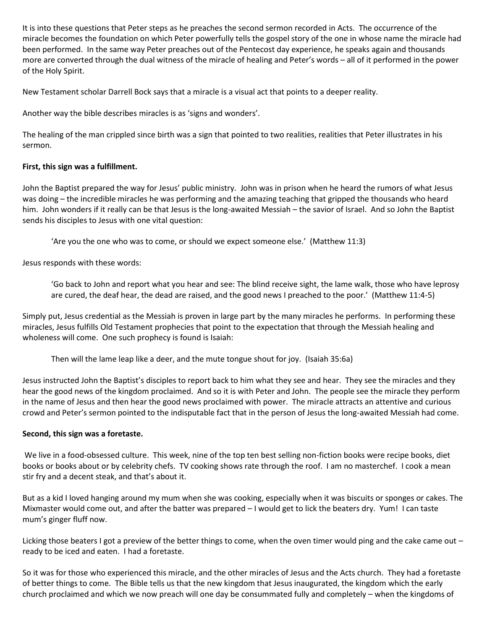It is into these questions that Peter steps as he preaches the second sermon recorded in Acts. The occurrence of the miracle becomes the foundation on which Peter powerfully tells the gospel story of the one in whose name the miracle had been performed. In the same way Peter preaches out of the Pentecost day experience, he speaks again and thousands more are converted through the dual witness of the miracle of healing and Peter's words – all of it performed in the power of the Holy Spirit.

New Testament scholar Darrell Bock says that a miracle is a visual act that points to a deeper reality.

Another way the bible describes miracles is as 'signs and wonders'.

The healing of the man crippled since birth was a sign that pointed to two realities, realities that Peter illustrates in his sermon.

## **First, this sign was a fulfillment.**

John the Baptist prepared the way for Jesus' public ministry. John was in prison when he heard the rumors of what Jesus was doing – the incredible miracles he was performing and the amazing teaching that gripped the thousands who heard him. John wonders if it really can be that Jesus is the long-awaited Messiah – the savior of Israel. And so John the Baptist sends his disciples to Jesus with one vital question:

'Are you the one who was to come, or should we expect someone else.' (Matthew 11:3)

Jesus responds with these words:

'Go back to John and report what you hear and see: The blind receive sight, the lame walk, those who have leprosy are cured, the deaf hear, the dead are raised, and the good news I preached to the poor.' (Matthew 11:4-5)

Simply put, Jesus credential as the Messiah is proven in large part by the many miracles he performs. In performing these miracles, Jesus fulfills Old Testament prophecies that point to the expectation that through the Messiah healing and wholeness will come. One such prophecy is found is Isaiah:

Then will the lame leap like a deer, and the mute tongue shout for joy. (Isaiah 35:6a)

Jesus instructed John the Baptist's disciples to report back to him what they see and hear. They see the miracles and they hear the good news of the kingdom proclaimed. And so it is with Peter and John. The people see the miracle they perform in the name of Jesus and then hear the good news proclaimed with power. The miracle attracts an attentive and curious crowd and Peter's sermon pointed to the indisputable fact that in the person of Jesus the long-awaited Messiah had come.

#### **Second, this sign was a foretaste.**

We live in a food-obsessed culture. This week, nine of the top ten best selling non-fiction books were recipe books, diet books or books about or by celebrity chefs. TV cooking shows rate through the roof. I am no masterchef. I cook a mean stir fry and a decent steak, and that's about it.

But as a kid I loved hanging around my mum when she was cooking, especially when it was biscuits or sponges or cakes. The Mixmaster would come out, and after the batter was prepared – I would get to lick the beaters dry. Yum! I can taste mum's ginger fluff now.

Licking those beaters I got a preview of the better things to come, when the oven timer would ping and the cake came out – ready to be iced and eaten. I had a foretaste.

So it was for those who experienced this miracle, and the other miracles of Jesus and the Acts church. They had a foretaste of better things to come. The Bible tells us that the new kingdom that Jesus inaugurated, the kingdom which the early church proclaimed and which we now preach will one day be consummated fully and completely – when the kingdoms of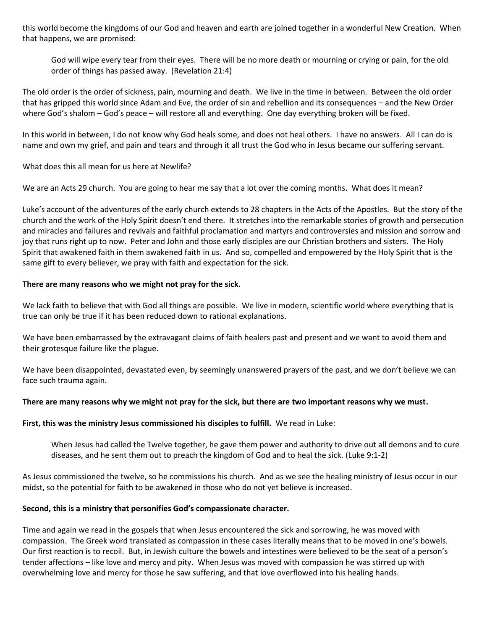this world become the kingdoms of our God and heaven and earth are joined together in a wonderful New Creation. When that happens, we are promised:

God will wipe every tear from their eyes. There will be no more death or mourning or crying or pain, for the old order of things has passed away. (Revelation 21:4)

The old order is the order of sickness, pain, mourning and death. We live in the time in between. Between the old order that has gripped this world since Adam and Eve, the order of sin and rebellion and its consequences – and the New Order where God's shalom – God's peace – will restore all and everything. One day everything broken will be fixed.

In this world in between, I do not know why God heals some, and does not heal others. I have no answers. All I can do is name and own my grief, and pain and tears and through it all trust the God who in Jesus became our suffering servant.

What does this all mean for us here at Newlife?

We are an Acts 29 church. You are going to hear me say that a lot over the coming months. What does it mean?

Luke's account of the adventures of the early church extends to 28 chapters in the Acts of the Apostles. But the story of the church and the work of the Holy Spirit doesn't end there. It stretches into the remarkable stories of growth and persecution and miracles and failures and revivals and faithful proclamation and martyrs and controversies and mission and sorrow and joy that runs right up to now. Peter and John and those early disciples are our Christian brothers and sisters. The Holy Spirit that awakened faith in them awakened faith in us. And so, compelled and empowered by the Holy Spirit that is the same gift to every believer, we pray with faith and expectation for the sick.

#### **There are many reasons who we might not pray for the sick.**

We lack faith to believe that with God all things are possible. We live in modern, scientific world where everything that is true can only be true if it has been reduced down to rational explanations.

We have been embarrassed by the extravagant claims of faith healers past and present and we want to avoid them and their grotesque failure like the plague.

We have been disappointed, devastated even, by seemingly unanswered prayers of the past, and we don't believe we can face such trauma again.

#### **There are many reasons why we might not pray for the sick, but there are two important reasons why we must.**

#### **First, this was the ministry Jesus commissioned his disciples to fulfill.** We read in Luke:

When Jesus had called the Twelve together, he gave them power and authority to drive out all demons and to cure diseases, and he sent them out to preach the kingdom of God and to heal the sick. (Luke 9:1-2)

As Jesus commissioned the twelve, so he commissions his church. And as we see the healing ministry of Jesus occur in our midst, so the potential for faith to be awakened in those who do not yet believe is increased.

#### **Second, this is a ministry that personifies God's compassionate character.**

Time and again we read in the gospels that when Jesus encountered the sick and sorrowing, he was moved with compassion. The Greek word translated as compassion in these cases literally means that to be moved in one's bowels. Our first reaction is to recoil. But, in Jewish culture the bowels and intestines were believed to be the seat of a person's tender affections – like love and mercy and pity. When Jesus was moved with compassion he was stirred up with overwhelming love and mercy for those he saw suffering, and that love overflowed into his healing hands.